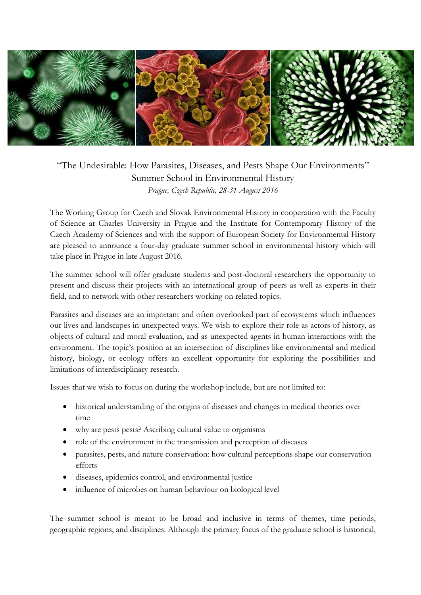

## "The Undesirable: How Parasites, Diseases, and Pests Shape Our Environments" Summer School in Environmental History *Prague, Czech Republic, 28-31 August 2016*

The Working Group for Czech and Slovak Environmental History in cooperation with the Faculty of Science at Charles University in Prague and the Institute for Contemporary History of the Czech Academy of Sciences and with the support of European Society for Environmental History are pleased to announce a four-day graduate summer school in environmental history which will take place in Prague in late August 2016.

The summer school will offer graduate students and post-doctoral researchers the opportunity to present and discuss their projects with an international group of peers as well as experts in their field, and to network with other researchers working on related topics.

Parasites and diseases are an important and often overlooked part of ecosystems which influences our lives and landscapes in unexpected ways. We wish to explore their role as actors of history, as objects of cultural and moral evaluation, and as unexpected agents in human interactions with the environment. The topic's position at an intersection of disciplines like environmental and medical history, biology, or ecology offers an excellent opportunity for exploring the possibilities and limitations of interdisciplinary research.

Issues that we wish to focus on during the workshop include, but are not limited to:

- historical understanding of the origins of diseases and changes in medical theories over time
- why are pests pests? Ascribing cultural value to organisms
- role of the environment in the transmission and perception of diseases
- parasites, pests, and nature conservation: how cultural perceptions shape our conservation efforts
- diseases, epidemics control, and environmental justice
- influence of microbes on human behaviour on biological level

The summer school is meant to be broad and inclusive in terms of themes, time periods, geographic regions, and disciplines. Although the primary focus of the graduate school is historical,